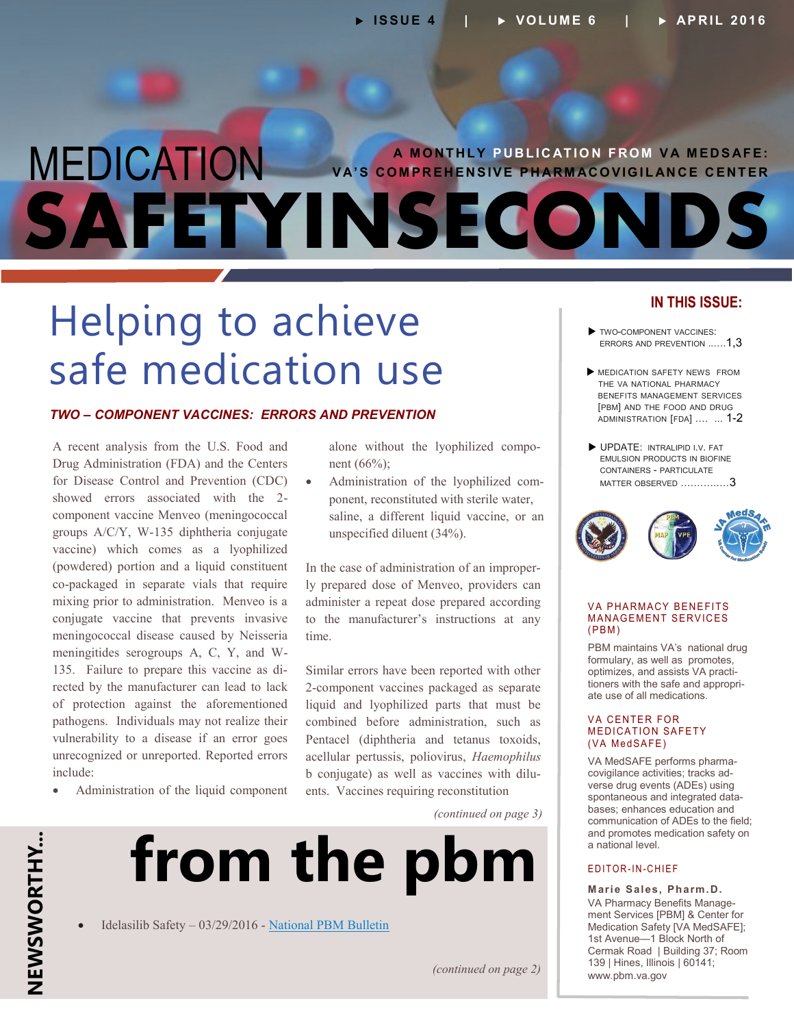## MEDICATION **SAFETYINSECOND A M O NT HLY P UB L I C AT IO N F RO M V A M ED S AFE: V A'S CO M PR E H EN SIVE P H AR M AC O VIG I L AN C E C ENT ER**

## Helping to achieve safe medication use

#### *TWO – COMPONENT VACCINES: ERRORS AND PREVENTION*

A recent analysis from the U.S. Food and Drug Administration (FDA) and the Centers for Disease Control and Prevention (CDC) showed errors associated with the 2 component vaccine Menveo (meningococcal groups A/C/Y, W-135 diphtheria conjugate vaccine) which comes as a lyophilized (powdered) portion and a liquid constituent co-packaged in separate vials that require mixing prior to administration. Menveo is a conjugate vaccine that prevents invasive meningococcal disease caused by Neisseria meningitides serogroups A, C, Y, and W-135. Failure to prepare this vaccine as di rected by the manufacturer can lead to lack of protection against the aforementioned pathogens. Individuals may not realize their vulnerability to a disease if an error goes unrecognized or unreported. Reported errors include:

Administration of the liquid component

alone without the lyophilized compo nent (66%);

 Administration of the lyophilized component, reconstituted with sterile water, saline, a different liquid vaccine, or an unspecified diluent (34%).

In the case of administration of an improperly prepared dose of Menveo, providers can administer a repeat dose prepared according to the manufacturer's instructions at any time.

- Similar errors have been reported with other premiers, and assists VA practi-2-component vaccines packaged as separate liquid and lyophilized parts that must be combined before administration, such as Pentacel (diphtheria and tetanus toxoids, acellular pertussis, poliovirus, *Haemophilus* b conjugate) as well as vaccines with dilu ents. Vaccines requiring reconstitution

*(continued on page 3)*



Idelasilib Safety – 03/29/2016 - [National PBM Bulletin](http://www.pbm.va.gov/PBM/vacenterformedicationsafety/nationalpbmbulletin/IDELALISIB_SAFETY_NATIONAL_PBM_BULLETIN_032916_FINAL.pdf)

### **IN THIS ISSUE:**

- TWO-COMPONENT VACCINES: ERRORS AND PREVENTION ..….1,3
- MEDICATION SAFETY NEWS FROM THE VA NATIONAL PHARMACY BENEFITS MANAGEMENT SERVICES [PBM] AND THE FOOD AND DRUG [ADMINISTRATION](#page-1-0) [FDA] .… ... 1-2
- UPDATE: INTRALIPID I.V. FAT EMULSION PRODUCTS IN BIOFINE CONTAINERS - PARTICULATE MATTER OBSERVED [….……..…](#page-2-0)3



#### **VA PHARMACY BENEFITS MANAGEMENT SERVICES**  $(PBM)$

PBM maintains VA's national drug formulary, as well as promotes, optimizes, and assists VA practi tioners with the safe and appropri ate use of all medications.

#### **VA CENTER FOR MEDICATION SAFETY** (VA MedSAFE)

VA MedSAFE performs pharma - - covigilance activities; tracks adverse drug events (ADEs) using spontaneous and integrated data bases; enhances education and communication of ADEs to the field; and promotes medication safety on a national level.

#### E D IT OR-IN-CHIEF

**Marie Sales, Pharm.D.** VA Pharmacy Benefits Manage ment Services [PBM] & Center for Medication Safety [VA MedSAFE]; 1st Avenue—1 Block North of Cermak Road | Building 37; Room 139 | Hines, Illinois | 60141; [www.pbm.va.gov](http://www.pbm.va.gov)

*(continued on page 2)*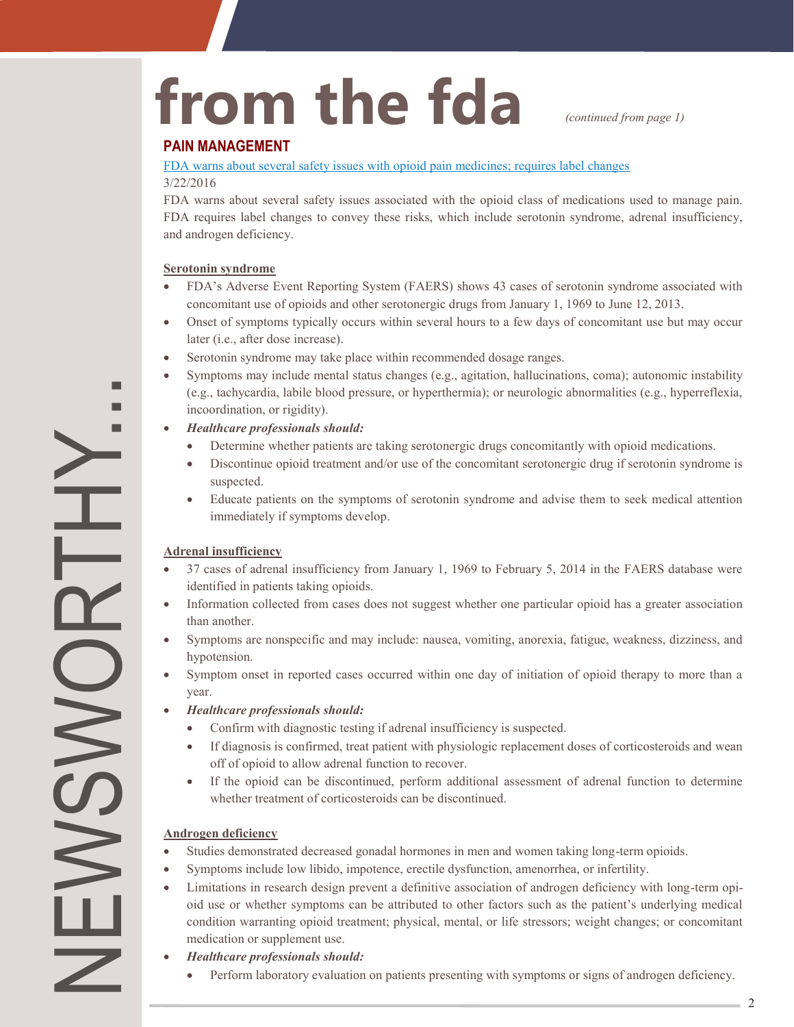# <span id="page-1-0"></span>from the fda *continued from page 1)*

#### **PAIN MANAGEMENT**

#### [FDA warns about several safety issues with opioid pain medicines; requires label changes](http://www.fda.gov/Drugs/DrugSafety/ucm489676.htm)

#### 3/22/2016

FDA warns about several safety issues associated with the opioid class of medications used to manage pain. FDA requires label changes to convey these risks, which include serotonin syndrome, adrenal insufficiency, and androgen deficiency.

#### **Serotonin syndrome**

- FDA's Adverse Event Reporting System (FAERS) shows 43 cases of serotonin syndrome associated with concomitant use of opioids and other serotonergic drugs from January 1, 1969 to June 12, 2013.
- Onset of symptoms typically occurs within several hours to a few days of concomitant use but may occur later (i.e., after dose increase).
- Serotonin syndrome may take place within recommended dosage ranges.
- Symptoms may include mental status changes (e.g., agitation, hallucinations, coma); autonomic instability (e.g., tachycardia, labile blood pressure, or hyperthermia); or neurologic abnormalities (e.g., hyperreflexia, incoordination, or rigidity).

#### *Healthcare professionals should:*

- Determine whether patients are taking serotonergic drugs concomitantly with opioid medications.
- Discontinue opioid treatment and/or use of the concomitant serotonergic drug if serotonin syndrome is suspected.
- Educate patients on the symptoms of serotonin syndrome and advise them to seek medical attention immediately if symptoms develop.

#### **Adrenal insufficiency**

- 37 cases of adrenal insufficiency from January 1, 1969 to February 5, 2014 in the FAERS database were identified in patients taking opioids.
- Information collected from cases does not suggest whether one particular opioid has a greater association than another.
- Symptoms are nonspecific and may include: nausea, vomiting, anorexia, fatigue, weakness, dizziness, and hypotension.
- Symptom onset in reported cases occurred within one day of initiation of opioid therapy to more than a year.
- *Healthcare professionals should:*
	- Confirm with diagnostic testing if adrenal insufficiency is suspected.
	- If diagnosis is confirmed, treat patient with physiologic replacement doses of corticosteroids and wean off of opioid to allow adrenal function to recover.
	- If the opioid can be discontinued, perform additional assessment of adrenal function to determine whether treatment of corticosteroids can be discontinued.

#### **Androgen deficiency**

NEWSWORTHY...

**OVVGI** 

 $\sum \limits$ 

- Studies demonstrated decreased gonadal hormones in men and women taking long-term opioids.
- Symptoms include low libido, impotence, erectile dysfunction, amenorrhea, or infertility.
- Limitations in research design prevent a definitive association of androgen deficiency with long-term opioid use or whether symptoms can be attributed to other factors such as the patient's underlying medical condition warranting opioid treatment; physical, mental, or life stressors; weight changes; or concomitant medication or supplement use.
- *Healthcare professionals should:*
	- Perform laboratory evaluation on patients presenting with symptoms or signs of androgen deficiency.